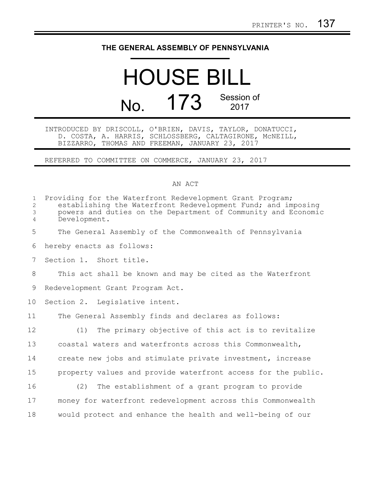## **THE GENERAL ASSEMBLY OF PENNSYLVANIA**

## HOUSE BILL No. 173 Session of

INTRODUCED BY DRISCOLL, O'BRIEN, DAVIS, TAYLOR, DONATUCCI, D. COSTA, A. HARRIS, SCHLOSSBERG, CALTAGIRONE, McNEILL, BIZZARRO, THOMAS AND FREEMAN, JANUARY 23, 2017

REFERRED TO COMMITTEE ON COMMERCE, JANUARY 23, 2017

## AN ACT

| Providing for the Waterfront Redevelopment Grant Program;<br>establishing the Waterfront Redevelopment Fund; and imposing<br>powers and duties on the Department of Community and Economic<br>Development. |
|------------------------------------------------------------------------------------------------------------------------------------------------------------------------------------------------------------|
| The General Assembly of the Commonwealth of Pennsylvania                                                                                                                                                   |
| hereby enacts as follows:                                                                                                                                                                                  |
| Section 1. Short title.                                                                                                                                                                                    |
| This act shall be known and may be cited as the Waterfront                                                                                                                                                 |
| Redevelopment Grant Program Act.                                                                                                                                                                           |
| Section 2. Legislative intent.                                                                                                                                                                             |
| The General Assembly finds and declares as follows:                                                                                                                                                        |
| The primary objective of this act is to revitalize<br>(1)                                                                                                                                                  |
| coastal waters and waterfronts across this Commonwealth,                                                                                                                                                   |
| create new jobs and stimulate private investment, increase                                                                                                                                                 |
| property values and provide waterfront access for the public.                                                                                                                                              |
| The establishment of a grant program to provide<br>(2)                                                                                                                                                     |
| money for waterfront redevelopment across this Commonwealth                                                                                                                                                |
| would protect and enhance the health and well-being of our                                                                                                                                                 |
|                                                                                                                                                                                                            |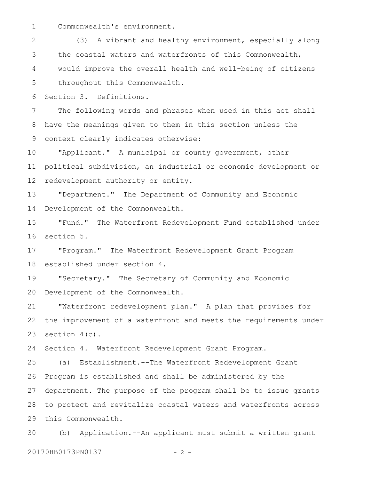Commonwealth's environment. 1

(3) A vibrant and healthy environment, especially along the coastal waters and waterfronts of this Commonwealth, would improve the overall health and well-being of citizens throughout this Commonwealth. 2 3 4 5

Section 3. Definitions. 6

The following words and phrases when used in this act shall have the meanings given to them in this section unless the context clearly indicates otherwise: 7 8 9

"Applicant." A municipal or county government, other political subdivision, an industrial or economic development or redevelopment authority or entity. 10 11 12

"Department." The Department of Community and Economic Development of the Commonwealth. 13 14

"Fund." The Waterfront Redevelopment Fund established under section 5. 15 16

"Program." The Waterfront Redevelopment Grant Program established under section 4. 17 18

"Secretary." The Secretary of Community and Economic Development of the Commonwealth. 19 20

"Waterfront redevelopment plan." A plan that provides for the improvement of a waterfront and meets the requirements under section  $4(c)$ . 21 22 23

Section 4. Waterfront Redevelopment Grant Program. 24

(a) Establishment.--The Waterfront Redevelopment Grant Program is established and shall be administered by the department. The purpose of the program shall be to issue grants to protect and revitalize coastal waters and waterfronts across this Commonwealth. 25 26 27 28 29

(b) Application.--An applicant must submit a written grant 30

20170HB0173PN0137 - 2 -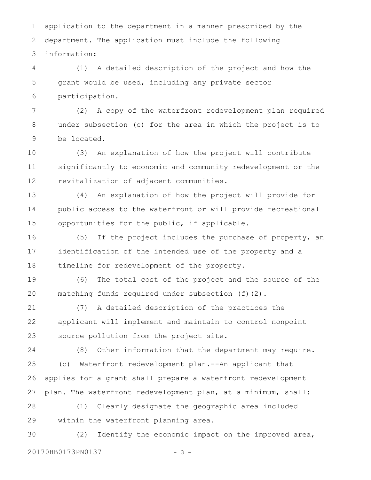application to the department in a manner prescribed by the department. The application must include the following information: 1 2 3

(1) A detailed description of the project and how the grant would be used, including any private sector participation. 4 5 6

(2) A copy of the waterfront redevelopment plan required under subsection (c) for the area in which the project is to be located. 7 8 9

(3) An explanation of how the project will contribute significantly to economic and community redevelopment or the revitalization of adjacent communities. 10 11 12

(4) An explanation of how the project will provide for public access to the waterfront or will provide recreational opportunities for the public, if applicable. 13 14 15

(5) If the project includes the purchase of property, an identification of the intended use of the property and a timeline for redevelopment of the property. 16 17 18

(6) The total cost of the project and the source of the matching funds required under subsection (f)(2). 19 20

(7) A detailed description of the practices the applicant will implement and maintain to control nonpoint source pollution from the project site. 21 22 23

(8) Other information that the department may require. (c) Waterfront redevelopment plan.--An applicant that applies for a grant shall prepare a waterfront redevelopment plan. The waterfront redevelopment plan, at a minimum, shall: 24 25 26 27

(1) Clearly designate the geographic area included within the waterfront planning area. 28 29

(2) Identify the economic impact on the improved area, 20170HB0173PN0137 - 3 -30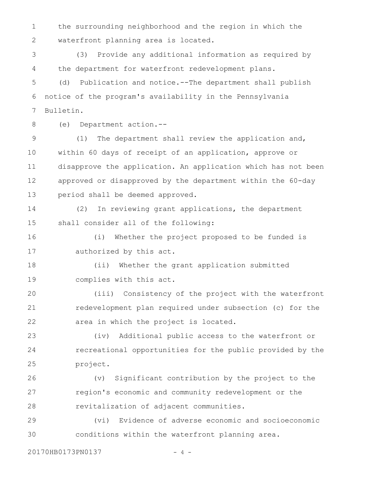the surrounding neighborhood and the region in which the waterfront planning area is located. 1 2

(3) Provide any additional information as required by the department for waterfront redevelopment plans. 3 4

(d) Publication and notice.--The department shall publish notice of the program's availability in the Pennsylvania Bulletin. 5 6 7

8

(e) Department action.--

(1) The department shall review the application and, within 60 days of receipt of an application, approve or disapprove the application. An application which has not been approved or disapproved by the department within the 60-day period shall be deemed approved. 9 10 11 12 13

(2) In reviewing grant applications, the department shall consider all of the following: 14 15

(i) Whether the project proposed to be funded is authorized by this act. 16 17

(ii) Whether the grant application submitted complies with this act. 18 19

(iii) Consistency of the project with the waterfront redevelopment plan required under subsection (c) for the area in which the project is located. 20 21 22

(iv) Additional public access to the waterfront or recreational opportunities for the public provided by the project. 23 24 25

(v) Significant contribution by the project to the region's economic and community redevelopment or the revitalization of adjacent communities. 26 27 28

(vi) Evidence of adverse economic and socioeconomic conditions within the waterfront planning area. 29 30

20170HB0173PN0137 - 4 -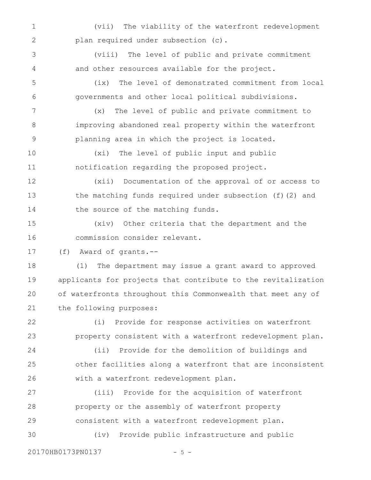(vii) The viability of the waterfront redevelopment plan required under subsection (c). 1 2

(viii) The level of public and private commitment and other resources available for the project. 3 4

(ix) The level of demonstrated commitment from local governments and other local political subdivisions. 5 6

(x) The level of public and private commitment to improving abandoned real property within the waterfront planning area in which the project is located. 7 8 9

(xi) The level of public input and public notification regarding the proposed project. 10 11

(xii) Documentation of the approval of or access to the matching funds required under subsection (f)(2) and the source of the matching funds. 12 13 14

(xiv) Other criteria that the department and the commission consider relevant. 15 16

(f) Award of grants.-- 17

(1) The department may issue a grant award to approved applicants for projects that contribute to the revitalization of waterfronts throughout this Commonwealth that meet any of the following purposes: 18 19 20 21

(i) Provide for response activities on waterfront property consistent with a waterfront redevelopment plan. (ii) Provide for the demolition of buildings and other facilities along a waterfront that are inconsistent with a waterfront redevelopment plan. 22 23 24 25 26

(iii) Provide for the acquisition of waterfront property or the assembly of waterfront property consistent with a waterfront redevelopment plan. 27 28 29

(iv) Provide public infrastructure and public 30

20170HB0173PN0137 - 5 -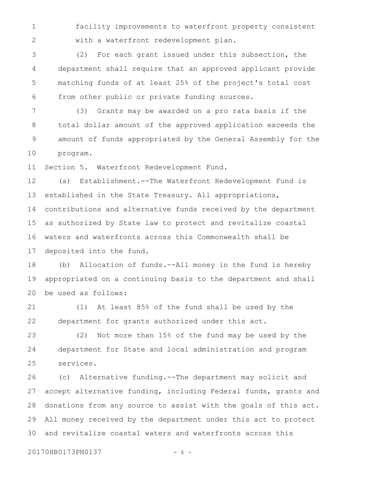facility improvements to waterfront property consistent with a waterfront redevelopment plan. 1 2

(2) For each grant issued under this subsection, the department shall require that an approved applicant provide matching funds of at least 25% of the project's total cost from other public or private funding sources. 3 4 5 6

(3) Grants may be awarded on a pro rata basis if the total dollar amount of the approved application exceeds the amount of funds appropriated by the General Assembly for the program. 7 8 9 10

Section 5. Waterfront Redevelopment Fund. 11

(a) Establishment.--The Waterfront Redevelopment Fund is established in the State Treasury. All appropriations, contributions and alternative funds received by the department as authorized by State law to protect and revitalize coastal waters and waterfronts across this Commonwealth shall be deposited into the fund. 12 13 14 15 16 17

(b) Allocation of funds.--All money in the fund is hereby appropriated on a continuing basis to the department and shall be used as follows: 18 19 20

(1) At least 85% of the fund shall be used by the department for grants authorized under this act. 21 22

(2) Not more than 15% of the fund may be used by the department for State and local administration and program services. 23 24 25

(c) Alternative funding.--The department may solicit and accept alternative funding, including Federal funds, grants and donations from any source to assist with the goals of this act. All money received by the department under this act to protect and revitalize coastal waters and waterfronts across this 26 27 28 29 30

20170HB0173PN0137 - 6 -